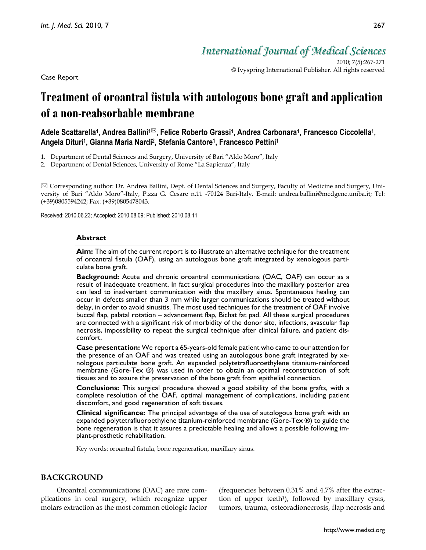Case Report

*International Journal of Medical Sciences*

2010; 7(5):267-271 © Ivyspring International Publisher. All rights reserved

# **Treatment of oroantral fistula with autologous bone graft and application of a non-reabsorbable membrane**

Adele Scattarella<sup>1</sup>, Andrea Ballini<sup>1⊠</sup>, Felice Roberto Grassi<sup>1</sup>, Andrea Carbonara<sup>1</sup>, Francesco Ciccolella<sup>1</sup>, **Angela Dituri1, Gianna Maria Nardi2, Stefania Cantore1, Francesco Pettini1**

- 1. Department of Dental Sciences and Surgery, University of Bari "Aldo Moro", Italy
- 2. Department of Dental Sciences, University of Rome "La Sapienza", Italy

 Corresponding author: Dr. Andrea Ballini, Dept. of Dental Sciences and Surgery, Faculty of Medicine and Surgery, University of Bari "Aldo Moro"-Italy, P.zza G. Cesare n.11 -70124 Bari-Italy. E-mail: andrea.ballini@medgene.uniba.it; Tel: (+39)0805594242; Fax: (+39)0805478043.

Received: 2010.06.23; Accepted: 2010.08.09; Published: 2010.08.11

## **Abstract**

**Aim:** The aim of the current report is to illustrate an alternative technique for the treatment of oroantral fistula (OAF), using an autologous bone graft integrated by xenologous particulate bone graft.

**Background:** Acute and chronic oroantral communications (OAC, OAF) can occur as a result of inadequate treatment. In fact surgical procedures into the maxillary posterior area can lead to inadvertent communication with the maxillary sinus. Spontaneous healing can occur in defects smaller than 3 mm while larger communications should be treated without delay, in order to avoid sinusitis. The most used techniques for the treatment of OAF involve buccal flap, palatal rotation – advancement flap, Bichat fat pad. All these surgical procedures are connected with a significant risk of morbidity of the donor site, infections, avascular flap necrosis, impossibility to repeat the surgical technique after clinical failure, and patient discomfort.

**Case presentation:** We report a 65-years-old female patient who came to our attention for the presence of an OAF and was treated using an autologous bone graft integrated by xenologous particulate bone graft. An expanded polytetrafluoroethylene titanium-reinforced membrane (Gore-Tex ®) was used in order to obtain an optimal reconstruction of soft tissues and to assure the preservation of the bone graft from epithelial connection.

**Conclusions:** This surgical procedure showed a good stability of the bone grafts, with a complete resolution of the OAF, optimal management of complications, including patient discomfort, and good regeneration of soft tissues.

**Clinical significance:** The principal advantage of the use of autologous bone graft with an expanded polytetrafluoroethylene titanium-reinforced membrane (Gore-Tex ®) to guide the bone regeneration is that it assures a predictable healing and allows a possible following implant-prosthetic rehabilitation.

Key words: oroantral fistula, bone regeneration, maxillary sinus.

## **BACKGROUND**

Oroantral communications (OAC) are rare complications in oral surgery, which recognize upper molars extraction as the most common etiologic factor (frequencies between 0.31% and 4.7% after the extraction of upper teeth<sup>1</sup>), followed by maxillary cysts, tumors, trauma, osteoradionecrosis, flap necrosis and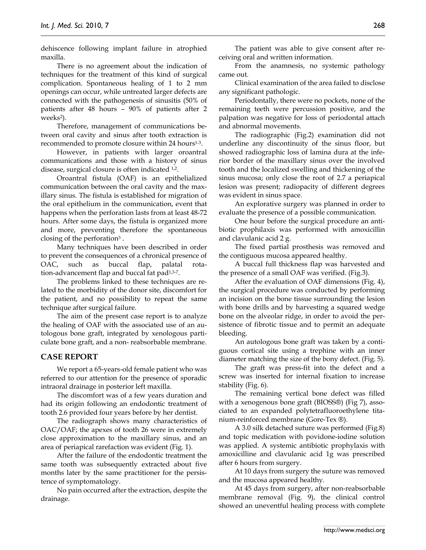dehiscence following implant failure in atrophied maxilla.

There is no agreement about the indication of techniques for the treatment of this kind of surgical complication. Spontaneous healing of 1 to 2 mm openings can occur, while untreated larger defects are connected with the pathogenesis of sinusitis (50% of patients after 48 hours – 90% of patients after 2 weeks<sup>2</sup>).

Therefore, management of communications between oral cavity and sinus after tooth extraction is recommended to promote closure within 24 hours<sup>1-3</sup>.

However, in patients with larger oroantral communications and those with a history of sinus disease, surgical closure is often indicated 1,2.

Oroantral fistula (OAF) is an epithelialized communication between the oral cavity and the maxillary sinus. The fistula is established for migration of the oral epithelium in the communication, event that happens when the perforation lasts from at least 48-72 hours. After some days, the fistula is organized more and more, preventing therefore the spontaneous closing of the perforation<sup>3</sup>.

Many techniques have been described in order to prevent the consequences of a chronical presence of OAC, such as buccal flap, palatal rotation-advancement flap and buccal fat pad1,3-7.

The problems linked to these techniques are related to the morbidity of the donor site, discomfort for the patient, and no possibility to repeat the same technique after surgical failure.

The aim of the present case report is to analyze the healing of OAF with the associated use of an autologous bone graft, integrated by xenologous particulate bone graft, and a non- reabsorbable membrane.

## **CASE REPORT**

We report a 65-years-old female patient who was referred to our attention for the presence of sporadic intraoral drainage in posterior left maxilla.

The discomfort was of a few years duration and had its origin following an endodontic treatment of tooth 2.6 provided four years before by her dentist.

The radiograph shows many characteristics of OAC/OAF; the apexes of tooth 26 were in extremely close approximation to the maxillary sinus, and an area of periapical rarefaction was evident (Fig. 1).

After the failure of the endodontic treatment the same tooth was subsequently extracted about five months later by the same practitioner for the persistence of symptomatology.

No pain occurred after the extraction, despite the drainage.

The patient was able to give consent after receiving oral and written information.

From the anamnesis, no systemic pathology came out.

Clinical examination of the area failed to disclose any significant pathologic.

Periodontally, there were no pockets, none of the remaining teeth were percussion positive, and the palpation was negative for loss of periodontal attach and abnormal movements.

The radiographic (Fig.2) examination did not underline any discontinuity of the sinus floor, but showed radiographic loss of lamina dura at the inferior border of the maxillary sinus over the involved tooth and the localized swelling and thickening of the sinus mucosa; only close the root of 2.7 a periapical lesion was present; radiopacity of different degrees was evident in sinus space.

An explorative surgery was planned in order to evaluate the presence of a possible communication.

One hour before the surgical procedure an antibiotic prophilaxis was performed with amoxicillin and clavulanic acid 2 g.

The fixed partial prosthesis was removed and the contiguous mucosa appeared healthy.

A buccal full thickness flap was harvested and the presence of a small OAF was verified. (Fig.3).

After the evaluation of OAF dimensions (Fig. 4), the surgical procedure was conducted by performing an incision on the bone tissue surrounding the lesion with bone drills and by harvesting a squared wedge bone on the alveolar ridge, in order to avoid the persistence of fibrotic tissue and to permit an adequate bleeding.

An autologous bone graft was taken by a contiguous cortical site using a trephine with an inner diameter matching the size of the bony defect. (Fig. 5).

The graft was press-fit into the defect and a screw was inserted for internal fixation to increase stability (Fig. 6).

The remaining vertical bone defect was filled with a xenogenous bone graft (BIOSS®) (Fig 7), associated to an expanded polytetrafluoroethylene titanium-reinforced membrane (Gore-Tex ®).

A 3.0 silk detached suture was performed (Fig.8) and topic medication with povidone-iodine solution was applied. A systemic antibiotic prophylaxis with amoxicilline and clavulanic acid 1g was prescribed after 6 hours from surgery.

At 10 days from surgery the suture was removed and the mucosa appeared healthy.

At 45 days from surgery, after non-reabsorbable membrane removal (Fig. 9), the clinical control showed an uneventful healing process with complete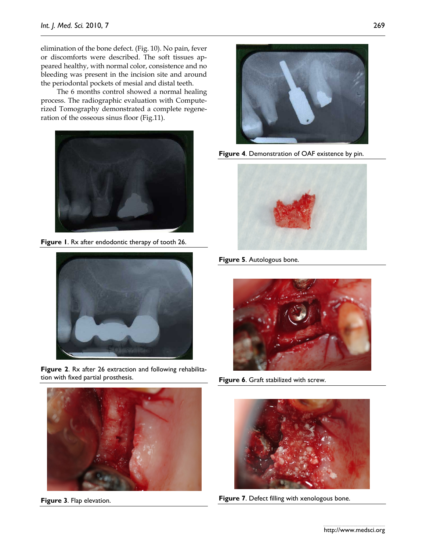elimination of the bone defect. (Fig. 10). No pain, fever or discomforts were described. The soft tissues appeared healthy, with normal color, consistence and no bleeding was present in the incision site and around the periodontal pockets of mesial and distal teeth.

The 6 months control showed a normal healing process. The radiographic evaluation with Computerized Tomography demonstrated a complete regeneration of the osseous sinus floor (Fig.11).



**Figure 1**. Rx after endodontic therapy of tooth 26.



**Figure 2**. Rx after 26 extraction and following rehabilitation with fixed partial prosthesis.



**Figure 3**. Flap elevation.



**Figure 4**. Demonstration of OAF existence by pin.



**Figure 5**. Autologous bone.



**Figure 6**. Graft stabilized with screw.



**Figure 7**. Defect filling with xenologous bone.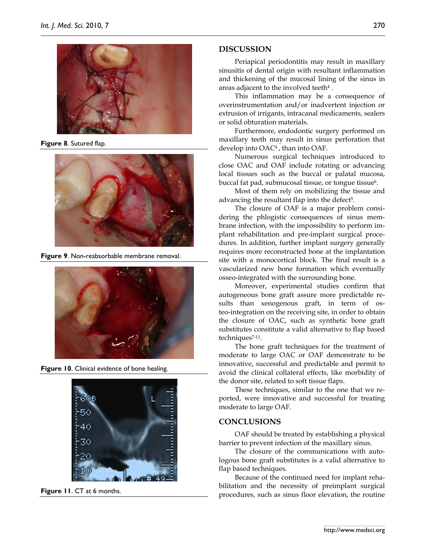

**Figure 8**. Sutured flap.



**Figure 9**. Non-reabsorbable membrane removal.



**Figure 10**. Clinical evidence of bone healing.



**Figure 11**. CT at 6 months.

## **DISCUSSION**

Periapical periodontitis may result in maxillary sinusitis of dental origin with resultant inflammation and thickening of the mucosal lining of the sinus in areas adjacent to the involved teeth4 .

This inflammation may be a consequence of overinstrumentation and/or inadvertent injection or extrusion of irrigants, intracanal medicaments, sealers or solid obturation materials.

Furthermore, endodontic surgery performed on maxillary teeth may result in sinus perforation that develop into OAC4 , than into OAF.

Numerous surgical techniques introduced to close OAC and OAF include rotating or advancing local tissues such as the buccal or palatal mucosa, buccal fat pad, submucosal tissue, or tongue tissue<sup>6</sup>.

Most of them rely on mobilizing the tissue and advancing the resultant flap into the defect<sup>5</sup>.

The closure of OAF is a major problem considering the phlogistic consequences of sinus membrane infection, with the impossibility to perform implant rehabilitation and pre-implant surgical procedures. In addition, further implant surgery generally requires more reconstructed bone at the implantation site with a monocortical block. The final result is a vascularized new bone formation which eventually osseo-integrated with the surrounding bone.

Moreover, experimental studies confirm that autogeneous bone graft assure more predictable results than xenogenous graft, in term of osteo-integration on the receiving site, in order to obtain the closure of OAC, such as synthetic bone graft substitutes constitute a valid alternative to flap based techniques7-11.

The bone graft techniques for the treatment of moderate to large OAC or OAF demonstrate to be innovative, successful and predictable and permit to avoid the clinical collateral effects, like morbidity of the donor site, related to soft tissue flaps.

These techniques, similar to the one that we reported, were innovative and successful for treating moderate to large OAF.

## **CONCLUSIONS**

OAF should be treated by establishing a physical barrier to prevent infection of the maxillary sinus.

The closure of the communications with autologous bone graft substitutes is a valid alternative to flap based techniques.

Because of the continued need for implant rehabilitation and the necessity of preimplant surgical procedures, such as sinus floor elevation, the routine